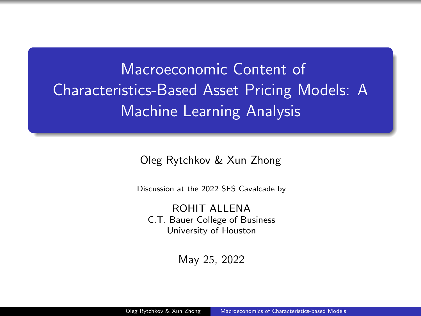<span id="page-0-0"></span>Macroeconomic Content of Characteristics-Based Asset Pricing Models: A Machine Learning Analysis

Oleg Rytchkov & Xun Zhong

Discussion at the 2022 SFS Cavalcade by

ROHIT ALL FNA C.T. Bauer College of Business University of Houston

May 25, 2022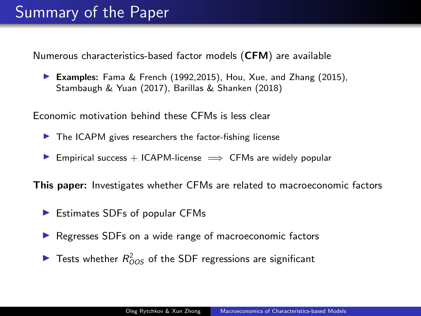Numerous characteristics-based factor models (CFM) are available

▶ Examples: Fama & French (1992,2015), Hou, Xue, and Zhang (2015), Stambaugh & Yuan (2017), Barillas & Shanken (2018)

Economic motivation behind these CFMs is less clear

- $\blacktriangleright$  The ICAPM gives researchers the factor-fishing license
- ▶ Empirical success  $+$  ICAPM-license  $\implies$  CFMs are widely popular

This paper: Investigates whether CFMs are related to macroeconomic factors

- ▶ Estimates SDFs of popular CFMs
- ▶ Regresses SDFs on a wide range of macroeconomic factors
- $\blacktriangleright$  Tests whether  $R_{OOS}^2$  of the SDF regressions are significant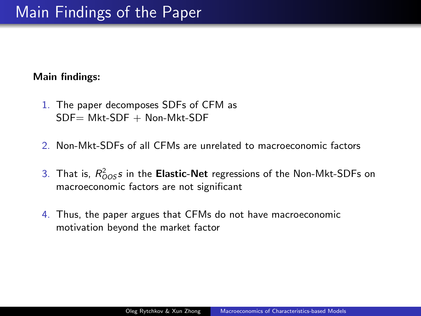#### Main findings:

- 1. The paper decomposes SDFs of CFM as  $SDF = Mkt-SDF + Non-Mkt-SDF$
- 2. Non-Mkt-SDFs of all CFMs are unrelated to macroeconomic factors
- 3. That is,  $R^2_{OOS}$ s in the **Elastic-Net** regressions of the Non-Mkt-SDFs on macroeconomic factors are not significant
- 4. Thus, the paper argues that CFMs do not have macroeconomic motivation beyond the market factor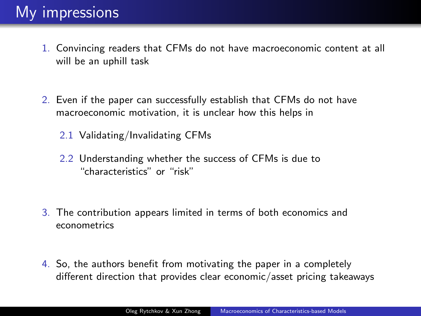- 1. Convincing readers that CFMs do not have macroeconomic content at all will be an uphill task
- 2. Even if the paper can successfully establish that CFMs do not have macroeconomic motivation, it is unclear how this helps in
	- 2.1 Validating/Invalidating CFMs
	- 2.2 Understanding whether the success of CFMs is due to "characteristics" or "risk"
- 3. The contribution appears limited in terms of both economics and econometrics
- 4. So, the authors benefit from motivating the paper in a completely different direction that provides clear economic/asset pricing takeaways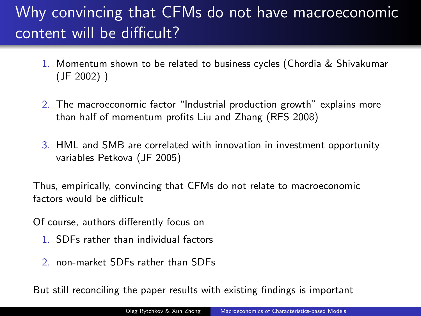# Why convincing that CFMs do not have macroeconomic content will be difficult?

- 1. Momentum shown to be related to business cycles (Chordia & Shivakumar (JF 2002) )
- 2. The macroeconomic factor "Industrial production growth" explains more than half of momentum profits Liu and Zhang (RFS 2008)
- 3. HML and SMB are correlated with innovation in investment opportunity variables Petkova (JF 2005)

Thus, empirically, convincing that CFMs do not relate to macroeconomic factors would be difficult

Of course, authors differently focus on

- 1. SDFs rather than individual factors
- 2. non-market SDFs rather than SDFs

But still reconciling the paper results with existing findings is important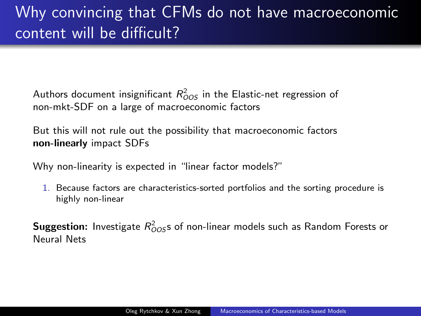## Why convincing that CFMs do not have macroeconomic content will be difficult?

Authors document insignificant  $R^2_{OOS}$  in the Elastic-net regression of non-mkt-SDF on a large of macroeconomic factors

But this will not rule out the possibility that macroeconomic factors non-linearly impact SDFs

Why non-linearity is expected in "linear factor models?"

1. Because factors are characteristics-sorted portfolios and the sorting procedure is highly non-linear

 $\mathsf{Suggestion}\colon$  Investigate  $R^2_{OOS}$ s of non-linear models such as Random Forests or Neural Nets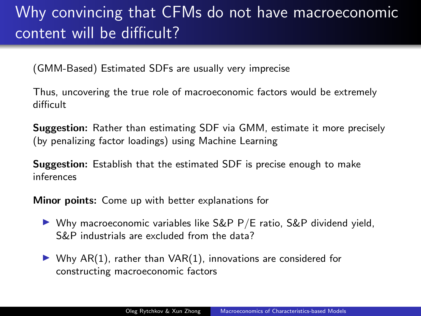## Why convincing that CFMs do not have macroeconomic content will be difficult?

(GMM-Based) Estimated SDFs are usually very imprecise

Thus, uncovering the true role of macroeconomic factors would be extremely difficult

Suggestion: Rather than estimating SDF via GMM, estimate it more precisely (by penalizing factor loadings) using Machine Learning

Suggestion: Establish that the estimated SDF is precise enough to make inferences

Minor points: Come up with better explanations for

- $\triangleright$  Why macroeconomic variables like S&P P/E ratio, S&P dividend yield, S&P industrials are excluded from the data?
- $\triangleright$  Why AR(1), rather than VAR(1), innovations are considered for constructing macroeconomic factors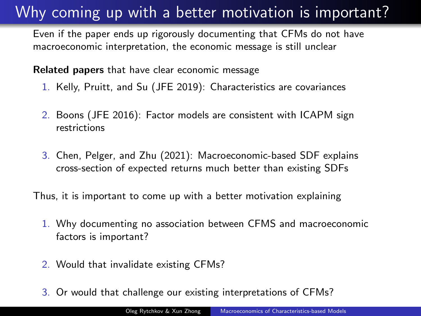#### Why coming up with a better motivation is important?

Even if the paper ends up rigorously documenting that CFMs do not have macroeconomic interpretation, the economic message is still unclear

Related papers that have clear economic message

- 1. Kelly, Pruitt, and Su (JFE 2019): Characteristics are covariances
- 2. Boons (JFE 2016): Factor models are consistent with ICAPM sign restrictions
- 3. Chen, Pelger, and Zhu (2021): Macroeconomic-based SDF explains cross-section of expected returns much better than existing SDFs

Thus, it is important to come up with a better motivation explaining

- 1. Why documenting no association between CFMS and macroeconomic factors is important?
- 2. Would that invalidate existing CFMs?
- 3. Or would that challenge our existing interpretations of CFMs?